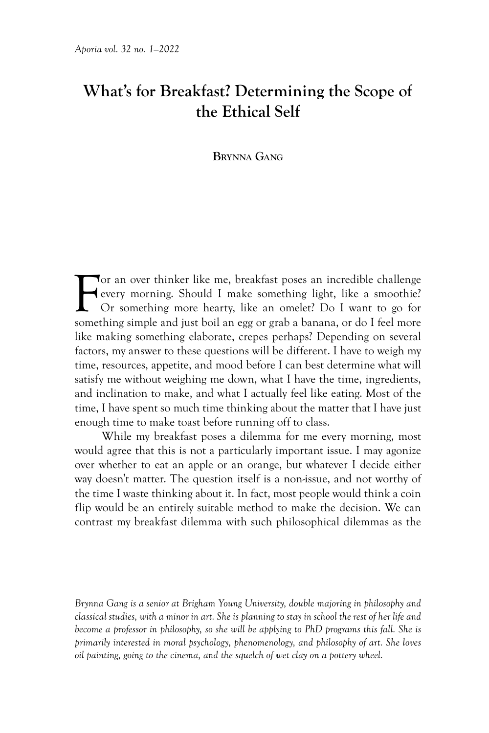# **What's for Breakfast? Determining the Scope of the Ethical Self**

### **Brynna Gang**

F<sub>omet</sub> or an over thinker like me, breakfast poses an incredible challenge every morning. Should I make something light, like a smoothie? Or something more hearty, like an omelet? Do I want to go for something simple and just boil an egg or grab a banana, or do I feel more like making something elaborate, crepes perhaps? Depending on several factors, my answer to these questions will be different. I have to weigh my time, resources, appetite, and mood before I can best determine what will satisfy me without weighing me down, what I have the time, ingredients, and inclination to make, and what I actually feel like eating. Most of the time, I have spent so much time thinking about the matter that I have just enough time to make toast before running off to class.

While my breakfast poses a dilemma for me every morning, most would agree that this is not a particularly important issue. I may agonize over whether to eat an apple or an orange, but whatever I decide either way doesn't matter. The question itself is a non-issue, and not worthy of the time I waste thinking about it. In fact, most people would think a coin flip would be an entirely suitable method to make the decision. We can contrast my breakfast dilemma with such philosophical dilemmas as the

*Brynna Gang is a senior at Brigham Young University, double majoring in philosophy and classical studies, with a minor in art. She is planning to stay in school the rest of her life and become a professor in philosophy, so she will be applying to PhD programs this fall. She is primarily interested in moral psychology, phenomenology, and philosophy of art. She loves oil painting, going to the cinema, and the squelch of wet clay on a pottery wheel.*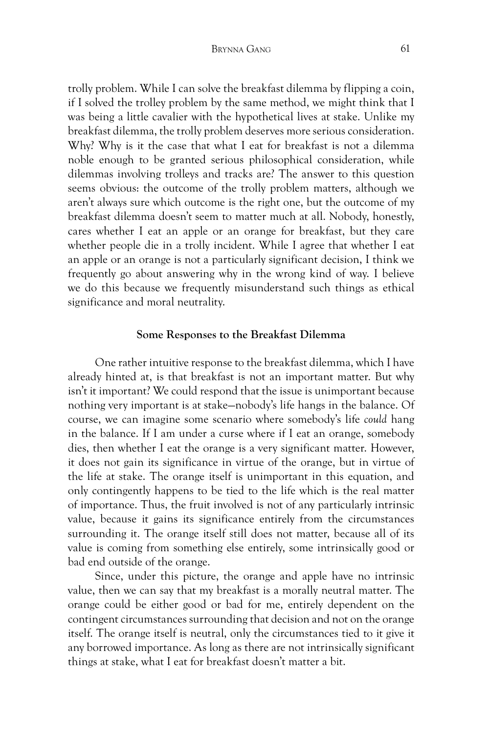trolly problem. While I can solve the breakfast dilemma by flipping a coin, if I solved the trolley problem by the same method, we might think that I was being a little cavalier with the hypothetical lives at stake. Unlike my breakfast dilemma, the trolly problem deserves more serious consideration. Why? Why is it the case that what I eat for breakfast is not a dilemma noble enough to be granted serious philosophical consideration, while dilemmas involving trolleys and tracks are? The answer to this question seems obvious: the outcome of the trolly problem matters, although we aren't always sure which outcome is the right one, but the outcome of my breakfast dilemma doesn't seem to matter much at all. Nobody, honestly, cares whether I eat an apple or an orange for breakfast, but they care whether people die in a trolly incident. While I agree that whether I eat an apple or an orange is not a particularly significant decision, I think we frequently go about answering why in the wrong kind of way. I believe we do this because we frequently misunderstand such things as ethical significance and moral neutrality.

#### **Some Responses to the Breakfast Dilemma**

One rather intuitive response to the breakfast dilemma, which I have already hinted at, is that breakfast is not an important matter. But why isn't it important? We could respond that the issue is unimportant because nothing very important is at stake—nobody's life hangs in the balance. Of course, we can imagine some scenario where somebody's life *could* hang in the balance. If I am under a curse where if I eat an orange, somebody dies, then whether I eat the orange is a very significant matter. However, it does not gain its significance in virtue of the orange, but in virtue of the life at stake. The orange itself is unimportant in this equation, and only contingently happens to be tied to the life which is the real matter of importance. Thus, the fruit involved is not of any particularly intrinsic value, because it gains its significance entirely from the circumstances surrounding it. The orange itself still does not matter, because all of its value is coming from something else entirely, some intrinsically good or bad end outside of the orange.

Since, under this picture, the orange and apple have no intrinsic value, then we can say that my breakfast is a morally neutral matter. The orange could be either good or bad for me, entirely dependent on the contingent circumstances surrounding that decision and not on the orange itself. The orange itself is neutral, only the circumstances tied to it give it any borrowed importance. As long as there are not intrinsically significant things at stake, what I eat for breakfast doesn't matter a bit.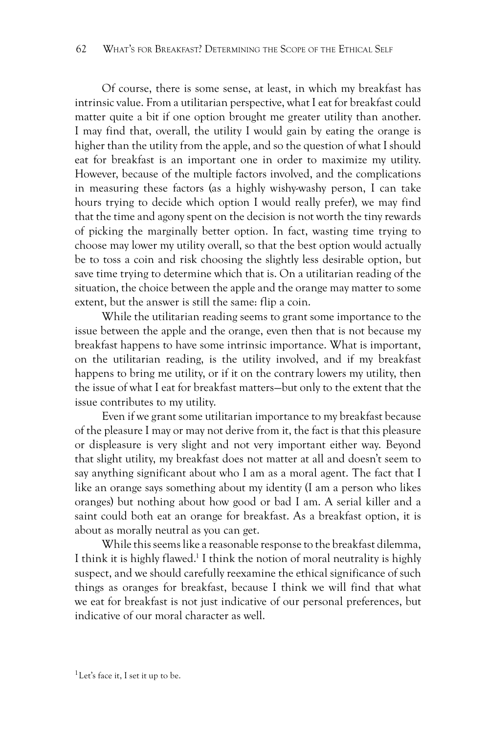Of course, there is some sense, at least, in which my breakfast has intrinsic value. From a utilitarian perspective, what I eat for breakfast could matter quite a bit if one option brought me greater utility than another. I may find that, overall, the utility I would gain by eating the orange is higher than the utility from the apple, and so the question of what I should eat for breakfast is an important one in order to maximize my utility. However, because of the multiple factors involved, and the complications in measuring these factors (as a highly wishy-washy person, I can take hours trying to decide which option I would really prefer), we may find that the time and agony spent on the decision is not worth the tiny rewards of picking the marginally better option. In fact, wasting time trying to choose may lower my utility overall, so that the best option would actually be to toss a coin and risk choosing the slightly less desirable option, but save time trying to determine which that is. On a utilitarian reading of the situation, the choice between the apple and the orange may matter to some extent, but the answer is still the same: flip a coin.

While the utilitarian reading seems to grant some importance to the issue between the apple and the orange, even then that is not because my breakfast happens to have some intrinsic importance. What is important, on the utilitarian reading, is the utility involved, and if my breakfast happens to bring me utility, or if it on the contrary lowers my utility, then the issue of what I eat for breakfast matters—but only to the extent that the issue contributes to my utility.

Even if we grant some utilitarian importance to my breakfast because of the pleasure I may or may not derive from it, the fact is that this pleasure or displeasure is very slight and not very important either way. Beyond that slight utility, my breakfast does not matter at all and doesn't seem to say anything significant about who I am as a moral agent. The fact that I like an orange says something about my identity (I am a person who likes oranges) but nothing about how good or bad I am. A serial killer and a saint could both eat an orange for breakfast. As a breakfast option, it is about as morally neutral as you can get.

While this seems like a reasonable response to the breakfast dilemma, I think it is highly flawed.<sup>1</sup> I think the notion of moral neutrality is highly suspect, and we should carefully reexamine the ethical significance of such things as oranges for breakfast, because I think we will find that what we eat for breakfast is not just indicative of our personal preferences, but indicative of our moral character as well.

 $<sup>1</sup>$  Let's face it, I set it up to be.</sup>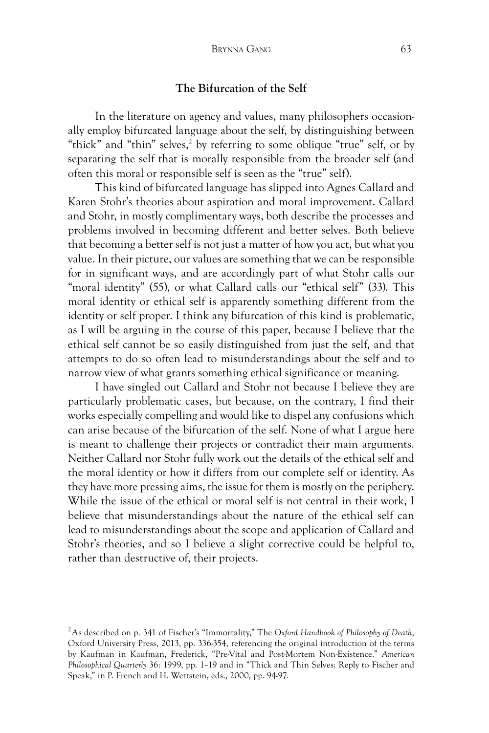# **The Bifurcation of the Self**

In the literature on agency and values, many philosophers occasionally employ bifurcated language about the self, by distinguishing between "thick" and "thin" selves,<sup>2</sup> by referring to some oblique "true" self, or by separating the self that is morally responsible from the broader self (and often this moral or responsible self is seen as the "true" self).

This kind of bifurcated language has slipped into Agnes Callard and Karen Stohr's theories about aspiration and moral improvement. Callard and Stohr, in mostly complimentary ways, both describe the processes and problems involved in becoming different and better selves. Both believe that becoming a better self is not just a matter of how you act, but what you value. In their picture, our values are something that we can be responsible for in significant ways, and are accordingly part of what Stohr calls our "moral identity" (55), or what Callard calls our "ethical self" (33). This moral identity or ethical self is apparently something different from the identity or self proper. I think any bifurcation of this kind is problematic, as I will be arguing in the course of this paper, because I believe that the ethical self cannot be so easily distinguished from just the self, and that attempts to do so often lead to misunderstandings about the self and to narrow view of what grants something ethical significance or meaning.

I have singled out Callard and Stohr not because I believe they are particularly problematic cases, but because, on the contrary, I find their works especially compelling and would like to dispel any confusions which can arise because of the bifurcation of the self. None of what I argue here is meant to challenge their projects or contradict their main arguments. Neither Callard nor Stohr fully work out the details of the ethical self and the moral identity or how it differs from our complete self or identity. As they have more pressing aims, the issue for them is mostly on the periphery. While the issue of the ethical or moral self is not central in their work, I believe that misunderstandings about the nature of the ethical self can lead to misunderstandings about the scope and application of Callard and Stohr's theories, and so I believe a slight corrective could be helpful to, rather than destructive of, their projects.

<sup>2</sup>As described on p. 341 of Fischer's "Immortality," The *Oxford Handbook of Philosophy of Death*, Oxford University Press, 2013, pp. 336-354, referencing the original introduction of the terms by Kaufman in Kaufman, Frederick, "Pre-Vital and Post-Mortem Non-Existence." *American Philosophical Quarterly* 36: 1999, pp. 1–19 and in "Thick and Thin Selves: Reply to Fischer and Speak," in P. French and H. Wettstein, eds., 2000, pp. 94-97.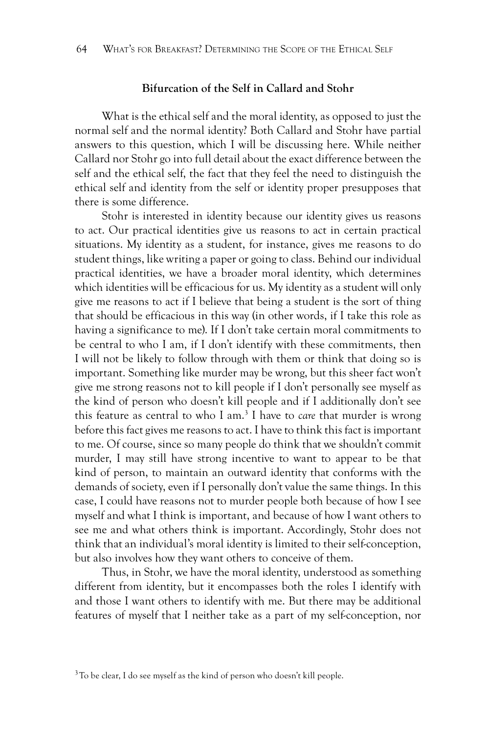# **Bifurcation of the Self in Callard and Stohr**

What is the ethical self and the moral identity, as opposed to just the normal self and the normal identity? Both Callard and Stohr have partial answers to this question, which I will be discussing here. While neither Callard nor Stohr go into full detail about the exact difference between the self and the ethical self, the fact that they feel the need to distinguish the ethical self and identity from the self or identity proper presupposes that there is some difference.

Stohr is interested in identity because our identity gives us reasons to act. Our practical identities give us reasons to act in certain practical situations. My identity as a student, for instance, gives me reasons to do student things, like writing a paper or going to class. Behind our individual practical identities, we have a broader moral identity, which determines which identities will be efficacious for us. My identity as a student will only give me reasons to act if I believe that being a student is the sort of thing that should be efficacious in this way (in other words, if I take this role as having a significance to me). If I don't take certain moral commitments to be central to who I am, if I don't identify with these commitments, then I will not be likely to follow through with them or think that doing so is important. Something like murder may be wrong, but this sheer fact won't give me strong reasons not to kill people if I don't personally see myself as the kind of person who doesn't kill people and if I additionally don't see this feature as central to who I am.3 I have to *care* that murder is wrong before this fact gives me reasons to act. I have to think this fact is important to me. Of course, since so many people do think that we shouldn't commit murder, I may still have strong incentive to want to appear to be that kind of person, to maintain an outward identity that conforms with the demands of society, even if I personally don't value the same things. In this case, I could have reasons not to murder people both because of how I see myself and what I think is important, and because of how I want others to see me and what others think is important. Accordingly, Stohr does not think that an individual's moral identity is limited to their self-conception, but also involves how they want others to conceive of them.

Thus, in Stohr, we have the moral identity, understood as something different from identity, but it encompasses both the roles I identify with and those I want others to identify with me. But there may be additional features of myself that I neither take as a part of my self-conception, nor

 $3$ To be clear, I do see myself as the kind of person who doesn't kill people.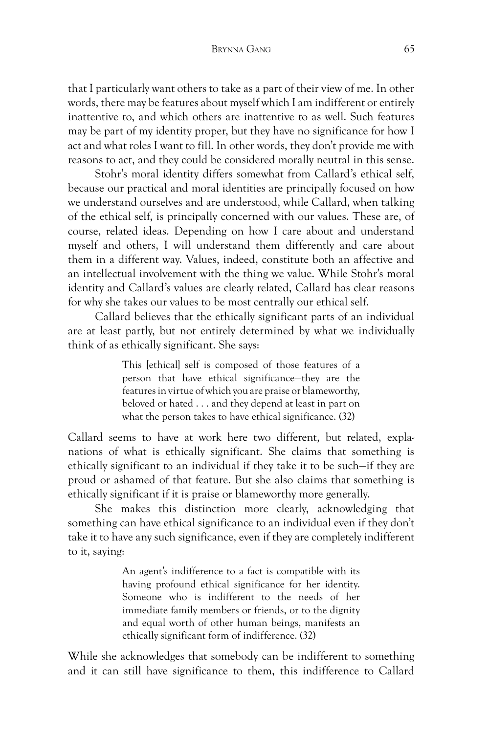#### Brynna Gang 65

that I particularly want others to take as a part of their view of me. In other words, there may be features about myself which I am indifferent or entirely inattentive to, and which others are inattentive to as well. Such features may be part of my identity proper, but they have no significance for how I act and what roles I want to fill. In other words, they don't provide me with reasons to act, and they could be considered morally neutral in this sense.

Stohr's moral identity differs somewhat from Callard's ethical self, because our practical and moral identities are principally focused on how we understand ourselves and are understood, while Callard, when talking of the ethical self, is principally concerned with our values. These are, of course, related ideas. Depending on how I care about and understand myself and others, I will understand them differently and care about them in a different way. Values, indeed, constitute both an affective and an intellectual involvement with the thing we value. While Stohr's moral identity and Callard's values are clearly related, Callard has clear reasons for why she takes our values to be most centrally our ethical self.

Callard believes that the ethically significant parts of an individual are at least partly, but not entirely determined by what we individually think of as ethically significant. She says:

> This [ethical] self is composed of those features of a person that have ethical significance—they are the features in virtue of which you are praise or blameworthy, beloved or hated . . . and they depend at least in part on what the person takes to have ethical significance. (32)

Callard seems to have at work here two different, but related, explanations of what is ethically significant. She claims that something is ethically significant to an individual if they take it to be such—if they are proud or ashamed of that feature. But she also claims that something is ethically significant if it is praise or blameworthy more generally.

She makes this distinction more clearly, acknowledging that something can have ethical significance to an individual even if they don't take it to have any such significance, even if they are completely indifferent to it, saying:

> An agent's indifference to a fact is compatible with its having profound ethical significance for her identity. Someone who is indifferent to the needs of her immediate family members or friends, or to the dignity and equal worth of other human beings, manifests an ethically significant form of indifference. (32)

While she acknowledges that somebody can be indifferent to something and it can still have significance to them, this indifference to Callard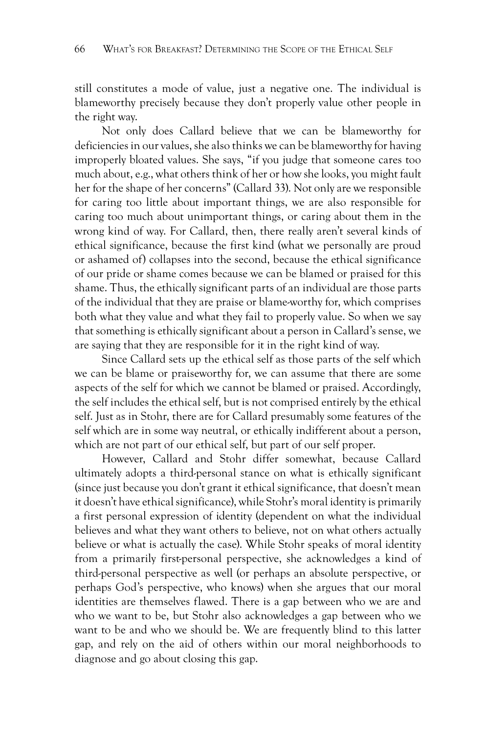still constitutes a mode of value, just a negative one. The individual is blameworthy precisely because they don't properly value other people in the right way.

Not only does Callard believe that we can be blameworthy for deficiencies in our values, she also thinks we can be blameworthy for having improperly bloated values. She says, "if you judge that someone cares too much about, e.g., what others think of her or how she looks, you might fault her for the shape of her concerns" (Callard 33). Not only are we responsible for caring too little about important things, we are also responsible for caring too much about unimportant things, or caring about them in the wrong kind of way. For Callard, then, there really aren't several kinds of ethical significance, because the first kind (what we personally are proud or ashamed of) collapses into the second, because the ethical significance of our pride or shame comes because we can be blamed or praised for this shame. Thus, the ethically significant parts of an individual are those parts of the individual that they are praise or blame-worthy for, which comprises both what they value and what they fail to properly value. So when we say that something is ethically significant about a person in Callard's sense, we are saying that they are responsible for it in the right kind of way.

Since Callard sets up the ethical self as those parts of the self which we can be blame or praiseworthy for, we can assume that there are some aspects of the self for which we cannot be blamed or praised. Accordingly, the self includes the ethical self, but is not comprised entirely by the ethical self. Just as in Stohr, there are for Callard presumably some features of the self which are in some way neutral, or ethically indifferent about a person, which are not part of our ethical self, but part of our self proper.

However, Callard and Stohr differ somewhat, because Callard ultimately adopts a third-personal stance on what is ethically significant (since just because you don't grant it ethical significance, that doesn't mean it doesn't have ethical significance), while Stohr's moral identity is primarily a first personal expression of identity (dependent on what the individual believes and what they want others to believe, not on what others actually believe or what is actually the case). While Stohr speaks of moral identity from a primarily first-personal perspective, she acknowledges a kind of third-personal perspective as well (or perhaps an absolute perspective, or perhaps God's perspective, who knows) when she argues that our moral identities are themselves flawed. There is a gap between who we are and who we want to be, but Stohr also acknowledges a gap between who we want to be and who we should be. We are frequently blind to this latter gap, and rely on the aid of others within our moral neighborhoods to diagnose and go about closing this gap.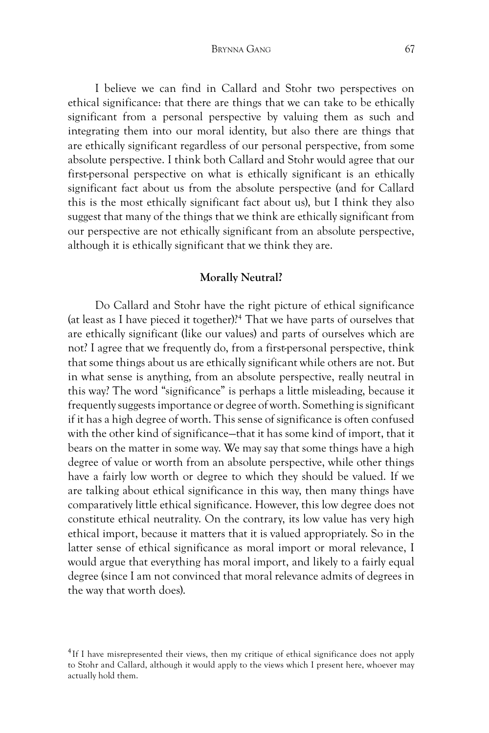Brynna Gang 67

I believe we can find in Callard and Stohr two perspectives on ethical significance: that there are things that we can take to be ethically significant from a personal perspective by valuing them as such and integrating them into our moral identity, but also there are things that are ethically significant regardless of our personal perspective, from some absolute perspective. I think both Callard and Stohr would agree that our first-personal perspective on what is ethically significant is an ethically significant fact about us from the absolute perspective (and for Callard this is the most ethically significant fact about us), but I think they also suggest that many of the things that we think are ethically significant from our perspective are not ethically significant from an absolute perspective, although it is ethically significant that we think they are.

#### **Morally Neutral?**

Do Callard and Stohr have the right picture of ethical significance (at least as I have pieced it together)?4 That we have parts of ourselves that are ethically significant (like our values) and parts of ourselves which are not? I agree that we frequently do, from a first-personal perspective, think that some things about us are ethically significant while others are not. But in what sense is anything, from an absolute perspective, really neutral in this way? The word "significance" is perhaps a little misleading, because it frequently suggests importance or degree of worth. Something is significant if it has a high degree of worth. This sense of significance is often confused with the other kind of significance—that it has some kind of import, that it bears on the matter in some way. We may say that some things have a high degree of value or worth from an absolute perspective, while other things have a fairly low worth or degree to which they should be valued. If we are talking about ethical significance in this way, then many things have comparatively little ethical significance. However, this low degree does not constitute ethical neutrality. On the contrary, its low value has very high ethical import, because it matters that it is valued appropriately. So in the latter sense of ethical significance as moral import or moral relevance, I would argue that everything has moral import, and likely to a fairly equal degree (since I am not convinced that moral relevance admits of degrees in the way that worth does).

<sup>&</sup>lt;sup>4</sup>If I have misrepresented their views, then my critique of ethical significance does not apply to Stohr and Callard, although it would apply to the views which I present here, whoever may actually hold them.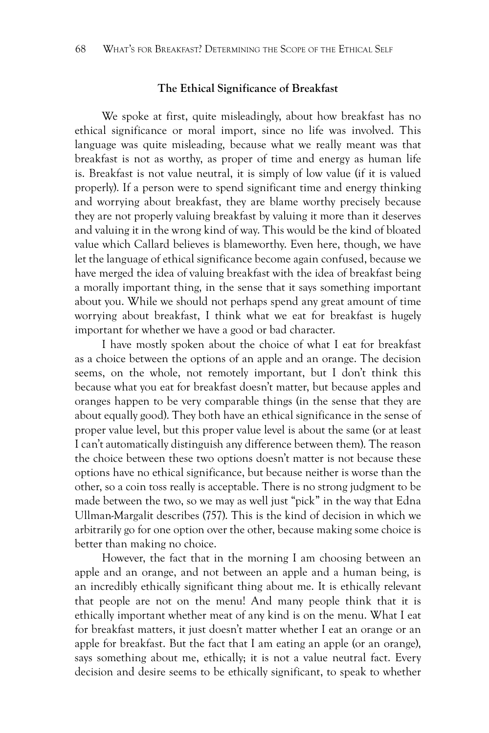#### **The Ethical Significance of Breakfast**

We spoke at first, quite misleadingly, about how breakfast has no ethical significance or moral import, since no life was involved. This language was quite misleading, because what we really meant was that breakfast is not as worthy, as proper of time and energy as human life is. Breakfast is not value neutral, it is simply of low value (if it is valued properly). If a person were to spend significant time and energy thinking and worrying about breakfast, they are blame worthy precisely because they are not properly valuing breakfast by valuing it more than it deserves and valuing it in the wrong kind of way. This would be the kind of bloated value which Callard believes is blameworthy. Even here, though, we have let the language of ethical significance become again confused, because we have merged the idea of valuing breakfast with the idea of breakfast being a morally important thing, in the sense that it says something important about you. While we should not perhaps spend any great amount of time worrying about breakfast, I think what we eat for breakfast is hugely important for whether we have a good or bad character.

I have mostly spoken about the choice of what I eat for breakfast as a choice between the options of an apple and an orange. The decision seems, on the whole, not remotely important, but I don't think this because what you eat for breakfast doesn't matter, but because apples and oranges happen to be very comparable things (in the sense that they are about equally good). They both have an ethical significance in the sense of proper value level, but this proper value level is about the same (or at least I can't automatically distinguish any difference between them). The reason the choice between these two options doesn't matter is not because these options have no ethical significance, but because neither is worse than the other, so a coin toss really is acceptable. There is no strong judgment to be made between the two, so we may as well just "pick" in the way that Edna Ullman-Margalit describes (757). This is the kind of decision in which we arbitrarily go for one option over the other, because making some choice is better than making no choice.

However, the fact that in the morning I am choosing between an apple and an orange, and not between an apple and a human being, is an incredibly ethically significant thing about me. It is ethically relevant that people are not on the menu! And many people think that it is ethically important whether meat of any kind is on the menu. What I eat for breakfast matters, it just doesn't matter whether I eat an orange or an apple for breakfast. But the fact that I am eating an apple (or an orange), says something about me, ethically; it is not a value neutral fact. Every decision and desire seems to be ethically significant, to speak to whether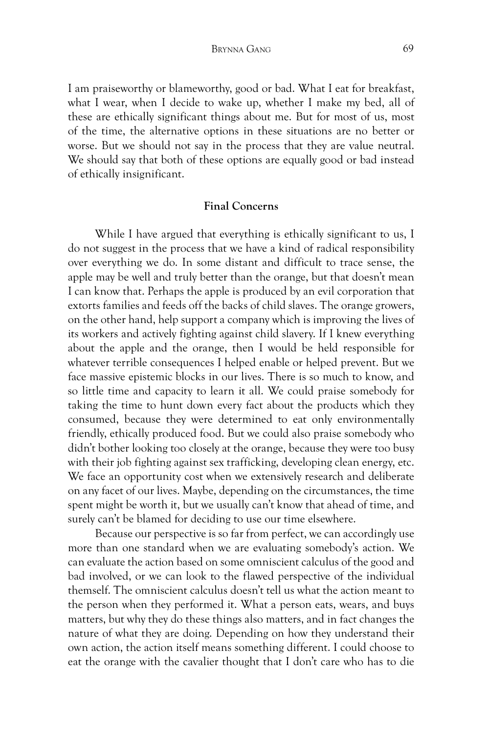I am praiseworthy or blameworthy, good or bad. What I eat for breakfast, what I wear, when I decide to wake up, whether I make my bed, all of these are ethically significant things about me. But for most of us, most of the time, the alternative options in these situations are no better or worse. But we should not say in the process that they are value neutral. We should say that both of these options are equally good or bad instead of ethically insignificant.

## **Final Concerns**

While I have argued that everything is ethically significant to us, I do not suggest in the process that we have a kind of radical responsibility over everything we do. In some distant and difficult to trace sense, the apple may be well and truly better than the orange, but that doesn't mean I can know that. Perhaps the apple is produced by an evil corporation that extorts families and feeds off the backs of child slaves. The orange growers, on the other hand, help support a company which is improving the lives of its workers and actively fighting against child slavery. If I knew everything about the apple and the orange, then I would be held responsible for whatever terrible consequences I helped enable or helped prevent. But we face massive epistemic blocks in our lives. There is so much to know, and so little time and capacity to learn it all. We could praise somebody for taking the time to hunt down every fact about the products which they consumed, because they were determined to eat only environmentally friendly, ethically produced food. But we could also praise somebody who didn't bother looking too closely at the orange, because they were too busy with their job fighting against sex trafficking, developing clean energy, etc. We face an opportunity cost when we extensively research and deliberate on any facet of our lives. Maybe, depending on the circumstances, the time spent might be worth it, but we usually can't know that ahead of time, and surely can't be blamed for deciding to use our time elsewhere.

Because our perspective is so far from perfect, we can accordingly use more than one standard when we are evaluating somebody's action. We can evaluate the action based on some omniscient calculus of the good and bad involved, or we can look to the flawed perspective of the individual themself. The omniscient calculus doesn't tell us what the action meant to the person when they performed it. What a person eats, wears, and buys matters, but why they do these things also matters, and in fact changes the nature of what they are doing. Depending on how they understand their own action, the action itself means something different. I could choose to eat the orange with the cavalier thought that I don't care who has to die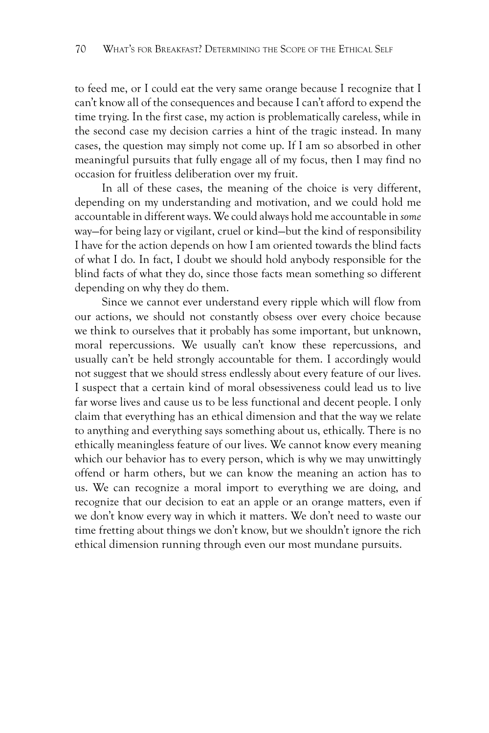to feed me, or I could eat the very same orange because I recognize that I can't know all of the consequences and because I can't afford to expend the time trying. In the first case, my action is problematically careless, while in the second case my decision carries a hint of the tragic instead. In many cases, the question may simply not come up. If I am so absorbed in other meaningful pursuits that fully engage all of my focus, then I may find no occasion for fruitless deliberation over my fruit.

In all of these cases, the meaning of the choice is very different, depending on my understanding and motivation, and we could hold me accountable in different ways. We could always hold me accountable in *some* way—for being lazy or vigilant, cruel or kind—but the kind of responsibility I have for the action depends on how I am oriented towards the blind facts of what I do. In fact, I doubt we should hold anybody responsible for the blind facts of what they do, since those facts mean something so different depending on why they do them.

Since we cannot ever understand every ripple which will flow from our actions, we should not constantly obsess over every choice because we think to ourselves that it probably has some important, but unknown, moral repercussions. We usually can't know these repercussions, and usually can't be held strongly accountable for them. I accordingly would not suggest that we should stress endlessly about every feature of our lives. I suspect that a certain kind of moral obsessiveness could lead us to live far worse lives and cause us to be less functional and decent people. I only claim that everything has an ethical dimension and that the way we relate to anything and everything says something about us, ethically. There is no ethically meaningless feature of our lives. We cannot know every meaning which our behavior has to every person, which is why we may unwittingly offend or harm others, but we can know the meaning an action has to us. We can recognize a moral import to everything we are doing, and recognize that our decision to eat an apple or an orange matters, even if we don't know every way in which it matters. We don't need to waste our time fretting about things we don't know, but we shouldn't ignore the rich ethical dimension running through even our most mundane pursuits.